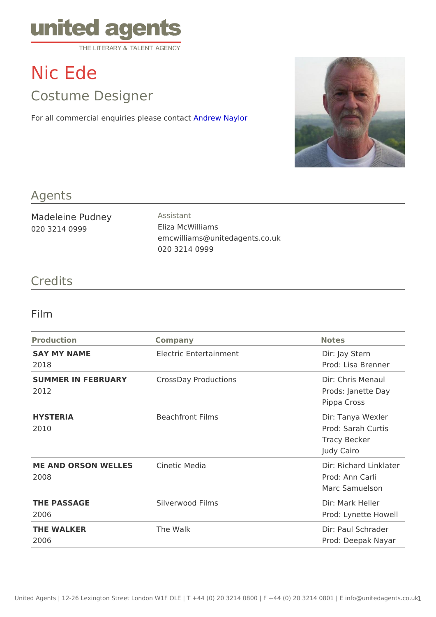# Nic Ede

## Costume Designer

For all commercial enquiries pl**Aase eo no intangletion** 

#### Agents

| Madeleine Pudney | Assistant                      |
|------------------|--------------------------------|
| 020 3214 0999    | Eliza McWilliams               |
|                  | emcwilliams@unitedagents.co.uk |
|                  | 020 3214 0999                  |

## Credits

#### Film

| Production                               | Company                                 | Notes                                                                 |
|------------------------------------------|-----------------------------------------|-----------------------------------------------------------------------|
| SAY MY NAME<br>2018                      | Electric Entertainment                  | Dir: Jay Stern<br>Prod: Lisa Brenner                                  |
| 2012                                     | SUMMER IN FEBRUARY CrossDay Productions | Dir: Chris Menaul<br>Prods: Janette Day<br>Pippa Cross                |
| <b>HYSTERIA</b><br>2010                  | Beachfront Films                        | Dir: Tanya Wexler<br>Prod: Sarah Curtis<br>Tracy Becker<br>Judy Cairo |
| ME AND ORSON WELLESCinetic Media<br>2008 |                                         | Dir: Richard Linklater<br>Prod: Ann Carli<br>Marc Samuelson           |
| THE PASSAGE<br>2006                      | Silverwood Films                        | Dir: Mark Heller<br>Prod: Lynette Howell                              |
| THE WALKER<br>2006                       | The Walk                                | Dir: Paul Schrader<br>Prod: Deepak Nayar                              |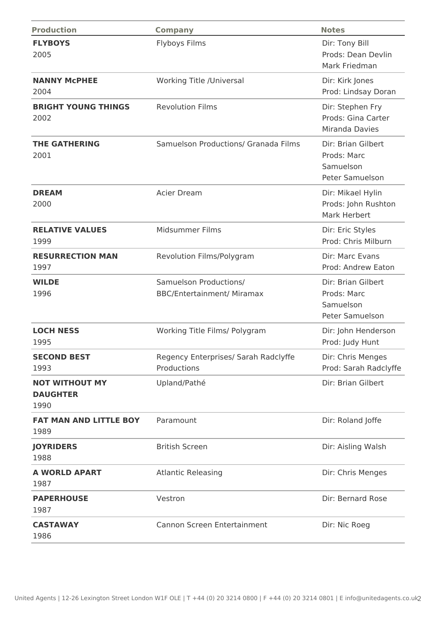| <b>Production</b>                                | <b>Company</b>                                              | <b>Notes</b>                                                             |
|--------------------------------------------------|-------------------------------------------------------------|--------------------------------------------------------------------------|
| <b>FLYBOYS</b><br>2005                           | Flyboys Films                                               | Dir: Tony Bill<br>Prods: Dean Devlin<br>Mark Friedman                    |
| <b>NANNY MCPHEE</b><br>2004                      | Working Title /Universal                                    | Dir: Kirk Jones<br>Prod: Lindsay Doran                                   |
| <b>BRIGHT YOUNG THINGS</b><br>2002               | <b>Revolution Films</b>                                     | Dir: Stephen Fry<br>Prods: Gina Carter<br>Miranda Davies                 |
| <b>THE GATHERING</b><br>2001                     | Samuelson Productions/ Granada Films                        | Dir: Brian Gilbert<br>Prods: Marc<br>Samuelson<br><b>Peter Samuelson</b> |
| <b>DREAM</b><br>2000                             | <b>Acier Dream</b>                                          | Dir: Mikael Hylin<br>Prods: John Rushton<br>Mark Herbert                 |
| <b>RELATIVE VALUES</b><br>1999                   | Midsummer Films                                             | Dir: Eric Styles<br>Prod: Chris Milburn                                  |
| <b>RESURRECTION MAN</b><br>1997                  | Revolution Films/Polygram                                   | Dir: Marc Evans<br>Prod: Andrew Eaton                                    |
| <b>WILDE</b><br>1996                             | Samuelson Productions/<br><b>BBC/Entertainment/ Miramax</b> | Dir: Brian Gilbert<br>Prods: Marc<br>Samuelson<br>Peter Samuelson        |
| <b>LOCH NESS</b><br>1995                         | Working Title Films/ Polygram                               | Dir: John Henderson<br>Prod: Judy Hunt                                   |
| <b>SECOND BEST</b><br>1993                       | Regency Enterprises/ Sarah Radclyffe<br>Productions         | Dir: Chris Menges<br>Prod: Sarah Radclyffe                               |
| <b>NOT WITHOUT MY</b><br><b>DAUGHTER</b><br>1990 | Upland/Pathé                                                | Dir: Brian Gilbert                                                       |
| <b>FAT MAN AND LITTLE BOY</b><br>1989            | Paramount                                                   | Dir: Roland Joffe                                                        |
| <b>JOYRIDERS</b><br>1988                         | <b>British Screen</b>                                       | Dir: Aisling Walsh                                                       |
| <b>A WORLD APART</b><br>1987                     | <b>Atlantic Releasing</b>                                   | Dir: Chris Menges                                                        |
| <b>PAPERHOUSE</b><br>1987                        | Vestron                                                     | Dir: Bernard Rose                                                        |
| <b>CASTAWAY</b><br>1986                          | Cannon Screen Entertainment                                 | Dir: Nic Roeg                                                            |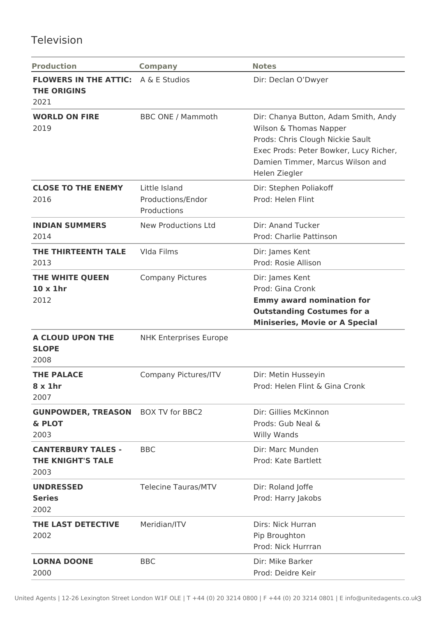## Television

| <b>Production</b>                                             | <b>Company</b>                                    | <b>Notes</b>                                                                                                                                                                                      |
|---------------------------------------------------------------|---------------------------------------------------|---------------------------------------------------------------------------------------------------------------------------------------------------------------------------------------------------|
| <b>FLOWERS IN THE ATTIC:</b><br><b>THE ORIGINS</b><br>2021    | A & E Studios                                     | Dir: Declan O'Dwyer                                                                                                                                                                               |
| <b>WORLD ON FIRE</b><br>2019                                  | <b>BBC ONE / Mammoth</b>                          | Dir: Chanya Button, Adam Smith, Andy<br>Wilson & Thomas Napper<br>Prods: Chris Clough Nickie Sault<br>Exec Prods: Peter Bowker, Lucy Richer,<br>Damien Timmer, Marcus Wilson and<br>Helen Ziegler |
| <b>CLOSE TO THE ENEMY</b><br>2016                             | Little Island<br>Productions/Endor<br>Productions | Dir: Stephen Poliakoff<br>Prod: Helen Flint                                                                                                                                                       |
| <b>INDIAN SUMMERS</b><br>2014                                 | <b>New Productions Ltd</b>                        | Dir: Anand Tucker<br>Prod: Charlie Pattinson                                                                                                                                                      |
| THE THIRTEENTH TALE<br>2013                                   | Vida Films                                        | Dir: James Kent<br>Prod: Rosie Allison                                                                                                                                                            |
| THE WHITE QUEEN<br>$10 \times 1$ hr<br>2012                   | <b>Company Pictures</b>                           | Dir: James Kent<br>Prod: Gina Cronk<br><b>Emmy award nomination for</b><br><b>Outstanding Costumes for a</b><br><b>Miniseries, Movie or A Special</b>                                             |
| A CLOUD UPON THE<br><b>SLOPE</b><br>2008                      | <b>NHK Enterprises Europe</b>                     |                                                                                                                                                                                                   |
| <b>THE PALACE</b><br>$8 \times 1$ hr<br>2007                  | Company Pictures/ITV                              | Dir: Metin Husseyin<br>Prod: Helen Flint & Gina Cronk                                                                                                                                             |
| <b>GUNPOWDER, TREASON BOX TV for BBC2</b><br>& PLOT<br>2003   |                                                   | Dir: Gillies McKinnon<br>Prods: Gub Neal &<br>Willy Wands                                                                                                                                         |
| <b>CANTERBURY TALES -</b><br><b>THE KNIGHT'S TALE</b><br>2003 | <b>BBC</b>                                        | Dir: Marc Munden<br>Prod: Kate Bartlett                                                                                                                                                           |
| <b>UNDRESSED</b><br><b>Series</b><br>2002                     | <b>Telecine Tauras/MTV</b>                        | Dir: Roland Joffe<br>Prod: Harry Jakobs                                                                                                                                                           |
| THE LAST DETECTIVE<br>2002                                    | Meridian/ITV                                      | Dirs: Nick Hurran<br>Pip Broughton<br>Prod: Nick Hurrran                                                                                                                                          |
| <b>LORNA DOONE</b><br>2000                                    | <b>BBC</b>                                        | Dir: Mike Barker<br>Prod: Deidre Keir                                                                                                                                                             |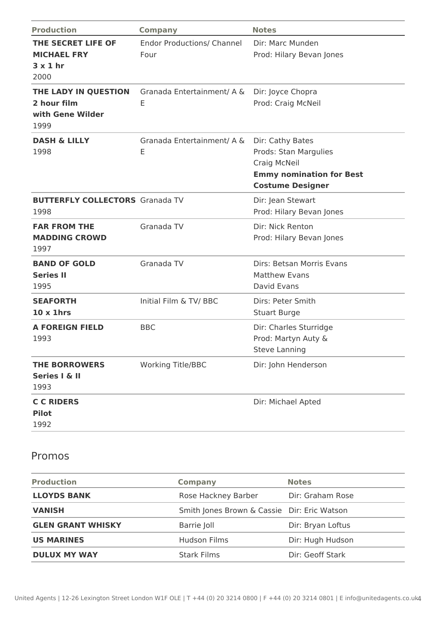| <b>Production</b>                                                   | <b>Company</b>                            | <b>Notes</b>                                                                                                            |
|---------------------------------------------------------------------|-------------------------------------------|-------------------------------------------------------------------------------------------------------------------------|
| THE SECRET LIFE OF<br><b>MICHAEL FRY</b><br>$3 \times 1$ hr<br>2000 | <b>Endor Productions/ Channel</b><br>Four | Dir: Marc Munden<br>Prod: Hilary Bevan Jones                                                                            |
| THE LADY IN QUESTION<br>2 hour film<br>with Gene Wilder<br>1999     | Granada Entertainment/ A &<br>Ε           | Dir: Joyce Chopra<br>Prod: Craig McNeil                                                                                 |
| <b>DASH &amp; LILLY</b><br>1998                                     | Granada Entertainment/ A &<br>Ε           | Dir: Cathy Bates<br>Prods: Stan Margulies<br>Craig McNeil<br><b>Emmy nomination for Best</b><br><b>Costume Designer</b> |
| <b>BUTTERFLY COLLECTORS</b> Granada TV<br>1998                      |                                           | Dir: Jean Stewart<br>Prod: Hilary Bevan Jones                                                                           |
| <b>FAR FROM THE</b><br><b>MADDING CROWD</b><br>1997                 | Granada TV                                | Dir: Nick Renton<br>Prod: Hilary Bevan Jones                                                                            |
| <b>BAND OF GOLD</b><br><b>Series II</b><br>1995                     | Granada TV                                | Dirs: Betsan Morris Evans<br><b>Matthew Evans</b><br>David Evans                                                        |
| <b>SEAFORTH</b><br>$10 \times 1$ hrs                                | Initial Film & TV/ BBC                    | Dirs: Peter Smith<br><b>Stuart Burge</b>                                                                                |
| <b>A FOREIGN FIELD</b><br>1993                                      | <b>BBC</b>                                | Dir: Charles Sturridge<br>Prod: Martyn Auty &<br><b>Steve Lanning</b>                                                   |
| <b>THE BORROWERS</b><br>Series I & II<br>1993                       | <b>Working Title/BBC</b>                  | Dir: John Henderson                                                                                                     |
| <b>CC RIDERS</b><br><b>Pilot</b><br>1992                            |                                           | Dir: Michael Apted                                                                                                      |
|                                                                     |                                           |                                                                                                                         |

#### Promos

| <b>Production</b>        | Company                                     | <b>Notes</b>      |
|--------------------------|---------------------------------------------|-------------------|
| <b>LLOYDS BANK</b>       | Rose Hackney Barber                         | Dir: Graham Rose  |
| <b>VANISH</b>            | Smith Jones Brown & Cassie Dir: Eric Watson |                   |
| <b>GLEN GRANT WHISKY</b> | Barrie Joll                                 | Dir: Bryan Loftus |
| <b>US MARINES</b>        | <b>Hudson Films</b>                         | Dir: Hugh Hudson  |
| <b>DULUX MY WAY</b>      | <b>Stark Films</b>                          | Dir: Geoff Stark  |